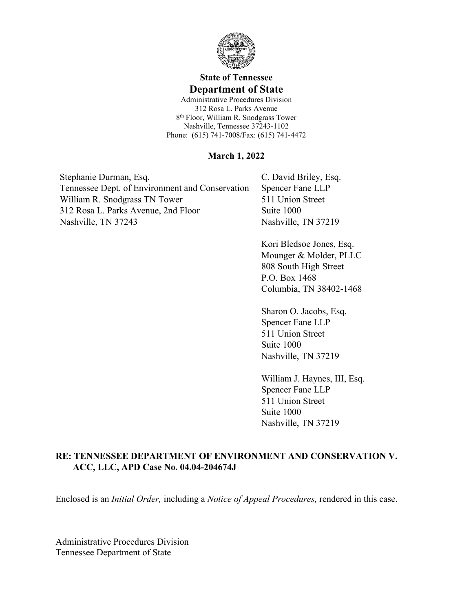

## **State of Tennessee Department of State**

Administrative Procedures Division 312 Rosa L. Parks Avenue 8 th Floor, William R. Snodgrass Tower Nashville, Tennessee 37243-1102 Phone: (615) 741-7008/Fax: (615) 741-4472

#### **March 1, 2022**

Stephanie Durman, Esq. Tennessee Dept. of Environment and Conservation William R. Snodgrass TN Tower 312 Rosa L. Parks Avenue, 2nd Floor Nashville, TN 37243

C. David Briley, Esq. Spencer Fane LLP 511 Union Street Suite 1000 Nashville, TN 37219

Kori Bledsoe Jones, Esq. Mounger & Molder, PLLC 808 South High Street P.O. Box 1468 Columbia, TN 38402-1468

Sharon O. Jacobs, Esq. Spencer Fane LLP 511 Union Street Suite 1000 Nashville, TN 37219

William J. Haynes, III, Esq. Spencer Fane LLP 511 Union Street Suite 1000 Nashville, TN 37219

### **RE: TENNESSEE DEPARTMENT OF ENVIRONMENT AND CONSERVATION V. ACC, LLC, APD Case No. 04.04-204674J**

Enclosed is an *Initial Order,* including a *Notice of Appeal Procedures,* rendered in this case.

Administrative Procedures Division Tennessee Department of State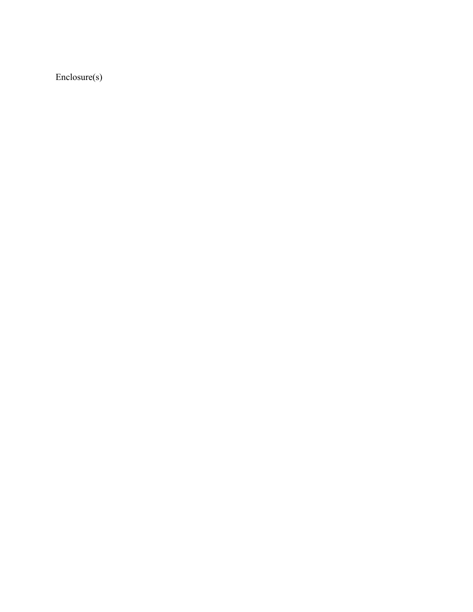Enclosure(s)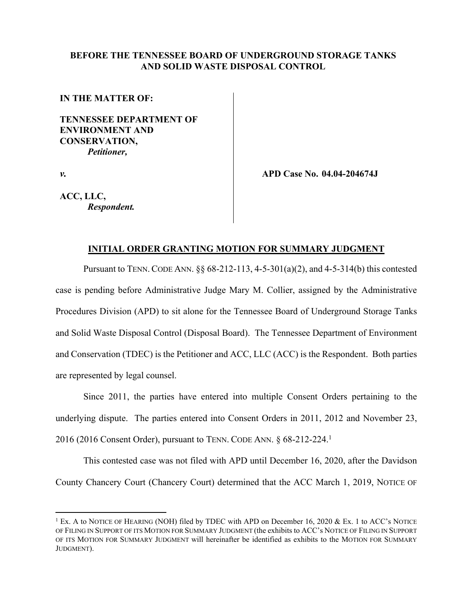#### **BEFORE THE TENNESSEE BOARD OF UNDERGROUND STORAGE TANKS AND SOLID WASTE DISPOSAL CONTROL**

#### **IN THE MATTER OF:**

**TENNESSEE DEPARTMENT OF ENVIRONMENT AND CONSERVATION,** *Petitioner,*

*v.*

**APD Case No. 04.04-204674J**

**ACC, LLC,** *Respondent.*

#### **INITIAL ORDER GRANTING MOTION FOR SUMMARY JUDGMENT**

Pursuant to TENN. CODE ANN. §§ 68-212-113, 4-5-301(a)(2), and 4-5-314(b) this contested case is pending before Administrative Judge Mary M. Collier, assigned by the Administrative Procedures Division (APD) to sit alone for the Tennessee Board of Underground Storage Tanks and Solid Waste Disposal Control (Disposal Board). The Tennessee Department of Environment and Conservation (TDEC) is the Petitioner and ACC, LLC (ACC) is the Respondent. Both parties are represented by legal counsel.

Since 2011, the parties have entered into multiple Consent Orders pertaining to the underlying dispute. The parties entered into Consent Orders in 2011, 2012 and November 23, 2016 (2016 Consent Order), pursuant to TENN. CODE ANN. § 68-212-224.<sup>1</sup>

This contested case was not filed with APD until December 16, 2020, after the Davidson County Chancery Court (Chancery Court) determined that the ACC March 1, 2019, NOTICE OF

<sup>&</sup>lt;sup>1</sup> Ex. A to NOTICE OF HEARING (NOH) filed by TDEC with APD on December 16, 2020 & Ex. 1 to ACC's NOTICE OF FILING IN SUPPORT OF ITS MOTION FOR SUMMARY JUDGMENT (the exhibits to ACC's NOTICE OF FILING IN SUPPORT OF ITS MOTION FOR SUMMARY JUDGMENT will hereinafter be identified as exhibits to the MOTION FOR SUMMARY JUDGMENT).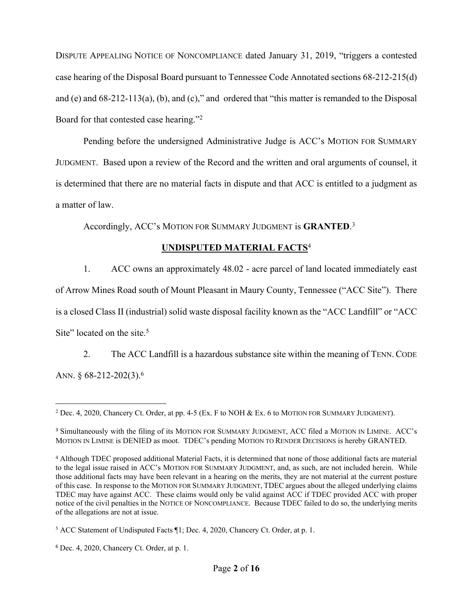DISPUTE APPEALING NOTICE OF NONCOMPLIANCE dated January 31, 2019, "triggers a contested case hearing of the Disposal Board pursuant to Tennessee Code Annotated sections 68-212-215(d) and (e) and 68-212-113(a), (b), and (c)," and ordered that "this matter is remanded to the Disposal Board for that contested case hearing."<sup>2</sup>

Pending before the undersigned Administrative Judge is ACC's MOTION FOR SUMMARY JUDGMENT. Based upon a review of the Record and the written and oral arguments of counsel, it is determined that there are no material facts in dispute and that ACC is entitled to a judgment as a matter of law.

Accordingly, ACC's MOTION FOR SUMMARY JUDGMENT is **GRANTED**. 3

# **UNDISPUTED MATERIAL FACTS**<sup>4</sup>

1. ACC owns an approximately 48.02 - acre parcel of land located immediately east of Arrow Mines Road south of Mount Pleasant in Maury County, Tennessee ("ACC Site"). There is a closed Class II (industrial) solid waste disposal facility known as the "ACC Landfill" or "ACC Site" located on the site.<sup>5</sup>

2. The ACC Landfill is a hazardous substance site within the meaning of TENN. CODE ANN. § 68-212-202(3).<sup>6</sup>

<sup>2</sup> Dec. 4, 2020, Chancery Ct. Order, at pp. 4-5 (Ex. F to NOH & Ex. 6 to MOTION FOR SUMMARY JUDGMENT).

<sup>3</sup> Simultaneously with the filing of its MOTION FOR SUMMARY JUDGMENT, ACC filed a MOTION IN LIMINE. ACC's MOTION IN LIMINE is DENIED as moot. TDEC's pending MOTION TO RENDER DECISIONS is hereby GRANTED.

<sup>4</sup> Although TDEC proposed additional Material Facts, it is determined that none of those additional facts are material to the legal issue raised in ACC's MOTION FOR SUMMARY JUDGMENT, and, as such, are not included herein. While those additional facts may have been relevant in a hearing on the merits, they are not material at the current posture of this case. In response to the MOTION FOR SUMMARY JUDGMENT, TDEC argues about the alleged underlying claims TDEC may have against ACC. These claims would only be valid against ACC if TDEC provided ACC with proper notice of the civil penalties in the NOTICE OF NONCOMPLIANCE. Because TDEC failed to do so, the underlying merits of the allegations are not at issue.

<sup>5</sup> ACC Statement of Undisputed Facts ¶1; Dec. 4, 2020, Chancery Ct. Order, at p. 1.

<sup>6</sup> Dec. 4, 2020, Chancery Ct. Order, at p. 1.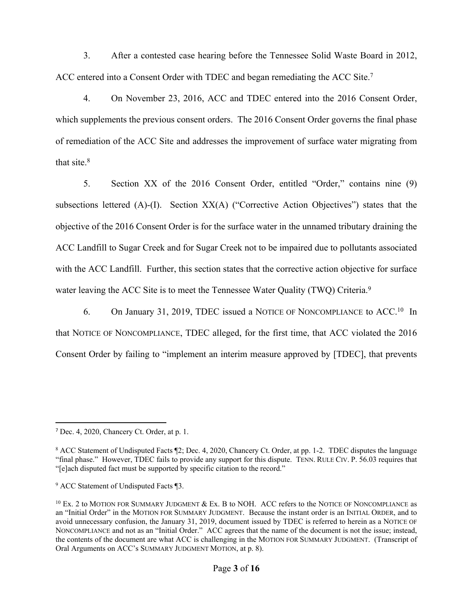3. After a contested case hearing before the Tennessee Solid Waste Board in 2012, ACC entered into a Consent Order with TDEC and began remediating the ACC Site.<sup>7</sup>

4. On November 23, 2016, ACC and TDEC entered into the 2016 Consent Order, which supplements the previous consent orders. The 2016 Consent Order governs the final phase of remediation of the ACC Site and addresses the improvement of surface water migrating from that site. $8$ 

5. Section XX of the 2016 Consent Order, entitled "Order," contains nine (9) subsections lettered (A)-(I). Section XX(A) ("Corrective Action Objectives") states that the objective of the 2016 Consent Order is for the surface water in the unnamed tributary draining the ACC Landfill to Sugar Creek and for Sugar Creek not to be impaired due to pollutants associated with the ACC Landfill. Further, this section states that the corrective action objective for surface water leaving the ACC Site is to meet the Tennessee Water Quality (TWQ) Criteria.<sup>9</sup>

6. On January 31, 2019, TDEC issued a NOTICE OF NONCOMPLIANCE to ACC.<sup>10</sup> In that NOTICE OF NONCOMPLIANCE, TDEC alleged, for the first time, that ACC violated the 2016 Consent Order by failing to "implement an interim measure approved by [TDEC], that prevents

<sup>7</sup> Dec. 4, 2020, Chancery Ct. Order, at p. 1.

<sup>8</sup> ACC Statement of Undisputed Facts ¶2; Dec. 4, 2020, Chancery Ct. Order, at pp. 1-2. TDEC disputes the language "final phase." However, TDEC fails to provide any support for this dispute. TENN. RULE CIV.P. 56.03 requires that "[e]ach disputed fact must be supported by specific citation to the record."

<sup>9</sup> ACC Statement of Undisputed Facts ¶3.

 $^{10}$  Ex. 2 to MOTION FOR SUMMARY JUDGMENT & Ex. B to NOH. ACC refers to the NOTICE OF NONCOMPLIANCE as an "Initial Order" in the MOTION FOR SUMMARY JUDGMENT. Because the instant order is an INITIAL ORDER, and to avoid unnecessary confusion, the January 31, 2019, document issued by TDEC is referred to herein as a NOTICE OF NONCOMPLIANCE and not as an "Initial Order." ACC agrees that the name of the document is not the issue; instead, the contents of the document are what ACC is challenging in the MOTION FOR SUMMARY JUDGMENT. (Transcript of Oral Arguments on ACC's SUMMARY JUDGMENT MOTION, at p. 8).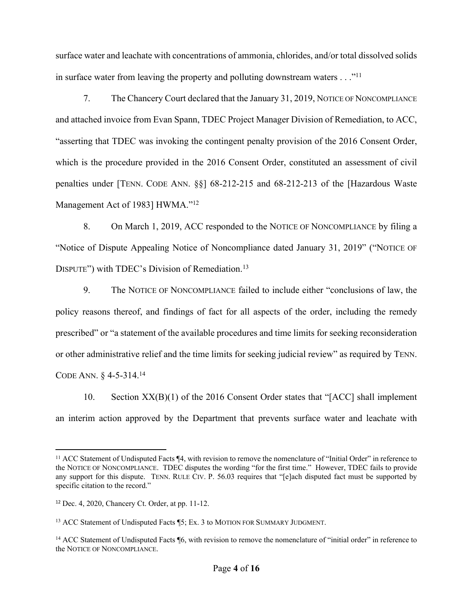surface water and leachate with concentrations of ammonia, chlorides, and/or total dissolved solids in surface water from leaving the property and polluting downstream waters . . ."<sup>11</sup>

7. The Chancery Court declared that the January 31, 2019, NOTICE OF NONCOMPLIANCE and attached invoice from Evan Spann, TDEC Project Manager Division of Remediation, to ACC, "asserting that TDEC was invoking the contingent penalty provision of the 2016 Consent Order, which is the procedure provided in the 2016 Consent Order, constituted an assessment of civil penalties under [TENN. CODE ANN. §§] 68-212-215 and 68-212-213 of the [Hazardous Waste Management Act of 1983] HWMA."<sup>12</sup>

8. On March 1, 2019, ACC responded to the NOTICE OF NONCOMPLIANCE by filing a "Notice of Dispute Appealing Notice of Noncompliance dated January 31, 2019" ("NOTICE OF DISPUTE") with TDEC's Division of Remediation.<sup>13</sup>

9. The NOTICE OF NONCOMPLIANCE failed to include either "conclusions of law, the policy reasons thereof, and findings of fact for all aspects of the order, including the remedy prescribed" or "a statement of the available procedures and time limits for seeking reconsideration or other administrative relief and the time limits for seeking judicial review" as required by TENN. CODE ANN. § 4-5-314.<sup>14</sup>

10. Section XX(B)(1) of the 2016 Consent Order states that "[ACC] shall implement an interim action approved by the Department that prevents surface water and leachate with

<sup>11</sup> ACC Statement of Undisputed Facts ¶4, with revision to remove the nomenclature of "Initial Order" in reference to the NOTICE OF NONCOMPLIANCE. TDEC disputes the wording "for the first time." However, TDEC fails to provide any support for this dispute. TENN. RULE CIV. P. 56.03 requires that "[e]ach disputed fact must be supported by specific citation to the record."

<sup>12</sup> Dec. 4, 2020, Chancery Ct. Order, at pp. 11-12.

<sup>13</sup> ACC Statement of Undisputed Facts ¶5; Ex. 3 to MOTION FOR SUMMARY JUDGMENT.

<sup>&</sup>lt;sup>14</sup> ACC Statement of Undisputed Facts [6, with revision to remove the nomenclature of "initial order" in reference to the NOTICE OF NONCOMPLIANCE.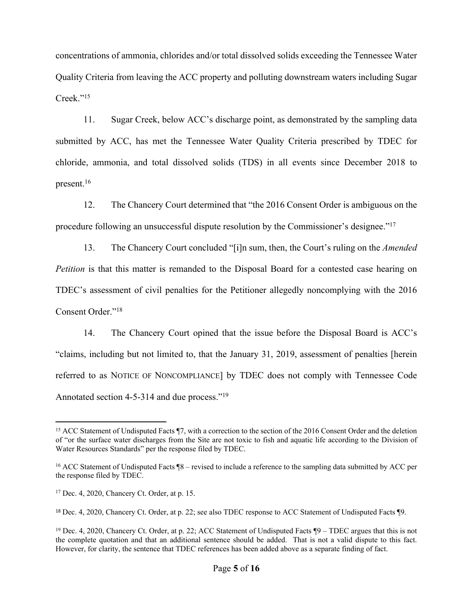concentrations of ammonia, chlorides and/or total dissolved solids exceeding the Tennessee Water Quality Criteria from leaving the ACC property and polluting downstream waters including Sugar Creek."<sup>15</sup>

11. Sugar Creek, below ACC's discharge point, as demonstrated by the sampling data submitted by ACC, has met the Tennessee Water Quality Criteria prescribed by TDEC for chloride, ammonia, and total dissolved solids (TDS) in all events since December 2018 to present.<sup>16</sup>

12. The Chancery Court determined that "the 2016 Consent Order is ambiguous on the procedure following an unsuccessful dispute resolution by the Commissioner's designee."<sup>17</sup>

13. The Chancery Court concluded "[i]n sum, then, the Court's ruling on the *Amended Petition* is that this matter is remanded to the Disposal Board for a contested case hearing on TDEC's assessment of civil penalties for the Petitioner allegedly noncomplying with the 2016 Consent Order."<sup>18</sup>

14. The Chancery Court opined that the issue before the Disposal Board is ACC's "claims, including but not limited to, that the January 31, 2019, assessment of penalties [herein referred to as NOTICE OF NONCOMPLIANCE] by TDEC does not comply with Tennessee Code Annotated section 4-5-314 and due process."<sup>19</sup>

<sup>&</sup>lt;sup>15</sup> ACC Statement of Undisputed Facts ¶7, with a correction to the section of the 2016 Consent Order and the deletion of "or the surface water discharges from the Site are not toxic to fish and aquatic life according to the Division of Water Resources Standards" per the response filed by TDEC.

<sup>16</sup> ACC Statement of Undisputed Facts ¶8 – revised to include a reference to the sampling data submitted by ACC per the response filed by TDEC.

<sup>17</sup> Dec. 4, 2020, Chancery Ct. Order, at p. 15.

<sup>18</sup> Dec. 4, 2020, Chancery Ct. Order, at p. 22; see also TDEC response to ACC Statement of Undisputed Facts ¶9.

<sup>19</sup> Dec. 4, 2020, Chancery Ct. Order, at p. 22; ACC Statement of Undisputed Facts ¶9 – TDEC argues that this is not the complete quotation and that an additional sentence should be added. That is not a valid dispute to this fact. However, for clarity, the sentence that TDEC references has been added above as a separate finding of fact.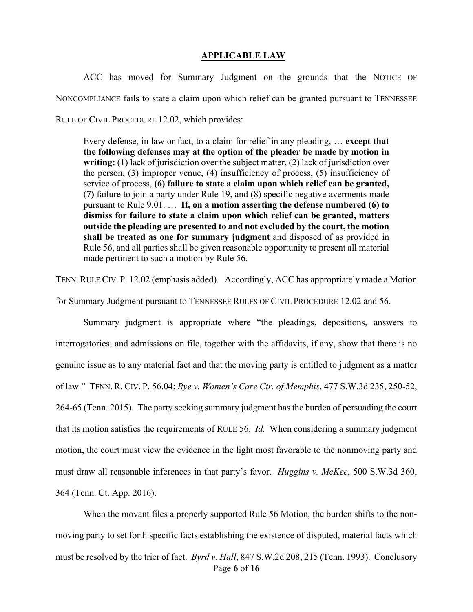#### **APPLICABLE LAW**

ACC has moved for Summary Judgment on the grounds that the NOTICE OF NONCOMPLIANCE fails to state a claim upon which relief can be granted pursuant to TENNESSEE RULE OF CIVIL PROCEDURE 12.02, which provides:

Every defense, in law or fact, to a claim for relief in any pleading, … **except that the following defenses may at the option of the pleader be made by motion in writing:** (1) lack of jurisdiction over the subject matter, (2) lack of jurisdiction over the person, (3) improper venue, (4) insufficiency of process, (5) insufficiency of service of process, **(6) failure to state a claim upon which relief can be granted,** (7**)** failure to join a party under Rule 19, and (8) specific negative averments made pursuant to Rule 9.01. … **If, on a motion asserting the defense numbered (6) to dismiss for failure to state a claim upon which relief can be granted, matters outside the pleading are presented to and not excluded by the court, the motion shall be treated as one for summary judgment** and disposed of as provided in Rule 56, and all parties shall be given reasonable opportunity to present all material made pertinent to such a motion by Rule 56.

TENN.RULECIV. P. 12.02 (emphasis added). Accordingly, ACC has appropriately made a Motion

for Summary Judgment pursuant to TENNESSEE RULES OF CIVIL PROCEDURE 12.02 and 56.

Summary judgment is appropriate where "the pleadings, depositions, answers to interrogatories, and admissions on file, together with the affidavits, if any, show that there is no genuine issue as to any material fact and that the moving party is entitled to judgment as a matter of law." TENN. R. CIV. P. 56.04; *Rye v. Women's Care Ctr. of Memphis*, 477 S.W.3d 235, 250-52, 264-65 (Tenn. 2015). The party seeking summary judgment has the burden of persuading the court that its motion satisfies the requirements of RULE 56. *Id.* When considering a summary judgment motion, the court must view the evidence in the light most favorable to the nonmoving party and must draw all reasonable inferences in that party's favor. *Huggins v. McKee*, 500 S.W.3d 360, 364 (Tenn. Ct. App. 2016).

Page **6** of **16** When the movant files a properly supported Rule 56 Motion, the burden shifts to the nonmoving party to set forth specific facts establishing the existence of disputed, material facts which must be resolved by the trier of fact. *Byrd v. Hall*, 847 S.W.2d 208, 215 (Tenn. 1993). Conclusory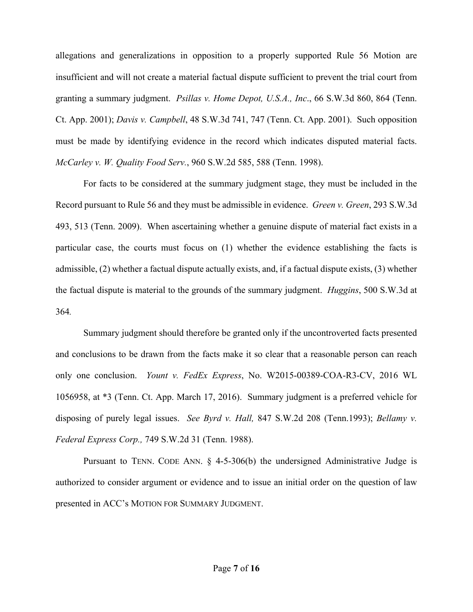allegations and generalizations in opposition to a properly supported Rule 56 Motion are insufficient and will not create a material factual dispute sufficient to prevent the trial court from granting a summary judgment. *Psillas v. Home Depot, U.S.A., Inc*., 66 S.W.3d 860, 864 (Tenn. Ct. App. 2001); *Davis v. Campbell*, 48 S.W.3d 741, 747 (Tenn. Ct. App. 2001). Such opposition must be made by identifying evidence in the record which indicates disputed material facts. *McCarley v. W. Quality Food Serv.*, 960 S.W.2d 585, 588 (Tenn. 1998).

For facts to be considered at the summary judgment stage, they must be included in the Record pursuant to Rule 56 and they must be admissible in evidence. *Green v. Green*, 293 S.W.3d 493, 513 (Tenn. 2009). When ascertaining whether a genuine dispute of material fact exists in a particular case, the courts must focus on (1) whether the evidence establishing the facts is admissible, (2) whether a factual dispute actually exists, and, if a factual dispute exists, (3) whether the factual dispute is material to the grounds of the summary judgment. *Huggins*, 500 S.W.3d at 364*.*

Summary judgment should therefore be granted only if the uncontroverted facts presented and conclusions to be drawn from the facts make it so clear that a reasonable person can reach only one conclusion. *Yount v. FedEx Express*, No. W2015-00389-COA-R3-CV, 2016 WL 1056958, at \*3 (Tenn. Ct. App. March 17, 2016). Summary judgment is a preferred vehicle for disposing of purely legal issues. *See Byrd v. Hall,* 847 S.W.2d 208 [\(Tenn.1993\);](https://a.next.westlaw.com/Link/Document/FullText?findType=Y&serNum=1993044519&pubNum=713&originatingDoc=If76c729de84411d9b386b232635db992&refType=RP&originationContext=document&transitionType=DocumentItem&contextData=(sc.Search)) *[Bellamy](https://a.next.westlaw.com/Link/Document/FullText?findType=Y&serNum=1988052313&pubNum=713&originatingDoc=If76c729de84411d9b386b232635db992&refType=RP&originationContext=document&transitionType=DocumentItem&contextData=(sc.Search)) v. Federal [Express](https://a.next.westlaw.com/Link/Document/FullText?findType=Y&serNum=1988052313&pubNum=713&originatingDoc=If76c729de84411d9b386b232635db992&refType=RP&originationContext=document&transitionType=DocumentItem&contextData=(sc.Search)) Corp.,* 749 S.W.2d 31 (Tenn. 1988).

Pursuant to TENN. CODE ANN. § 4-5-306(b) the undersigned Administrative Judge is authorized to consider argument or evidence and to issue an initial order on the question of law presented in ACC's MOTION FOR SUMMARY JUDGMENT.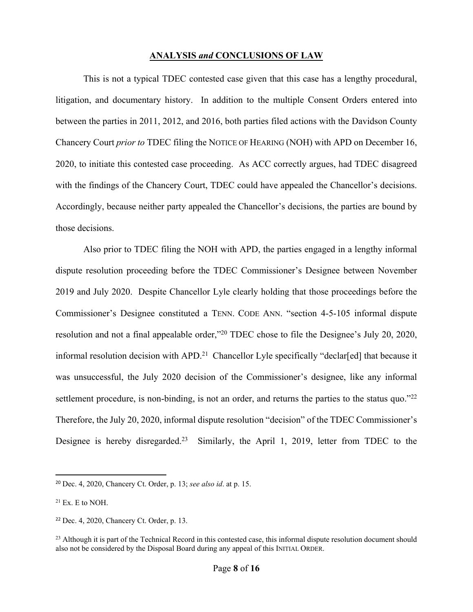#### **ANALYSIS** *and* **CONCLUSIONS OF LAW**

This is not a typical TDEC contested case given that this case has a lengthy procedural, litigation, and documentary history. In addition to the multiple Consent Orders entered into between the parties in 2011, 2012, and 2016, both parties filed actions with the Davidson County Chancery Court *prior to* TDEC filing the NOTICE OF HEARING (NOH) with APD on December 16, 2020, to initiate this contested case proceeding. As ACC correctly argues, had TDEC disagreed with the findings of the Chancery Court, TDEC could have appealed the Chancellor's decisions. Accordingly, because neither party appealed the Chancellor's decisions, the parties are bound by those decisions.

Also prior to TDEC filing the NOH with APD, the parties engaged in a lengthy informal dispute resolution proceeding before the TDEC Commissioner's Designee between November 2019 and July 2020. Despite Chancellor Lyle clearly holding that those proceedings before the Commissioner's Designee constituted a TENN. CODE ANN. "section 4-5-105 informal dispute resolution and not a final appealable order,"<sup>20</sup> TDEC chose to file the Designee's July 20, 2020, informal resolution decision with APD.<sup>21</sup> Chancellor Lyle specifically "declar[ed] that because it was unsuccessful, the July 2020 decision of the Commissioner's designee, like any informal settlement procedure, is non-binding, is not an order, and returns the parties to the status quo."<sup>22</sup> Therefore, the July 20, 2020, informal dispute resolution "decision" of the TDEC Commissioner's Designee is hereby disregarded.<sup>23</sup> Similarly, the April 1, 2019, letter from TDEC to the

<sup>20</sup> Dec. 4, 2020, Chancery Ct. Order, p. 13; *see also id*. at p. 15.

 $21$  Ex. E to NOH.

<sup>22</sup> Dec. 4, 2020, Chancery Ct. Order, p. 13.

<sup>&</sup>lt;sup>23</sup> Although it is part of the Technical Record in this contested case, this informal dispute resolution document should also not be considered by the Disposal Board during any appeal of this INITIAL ORDER.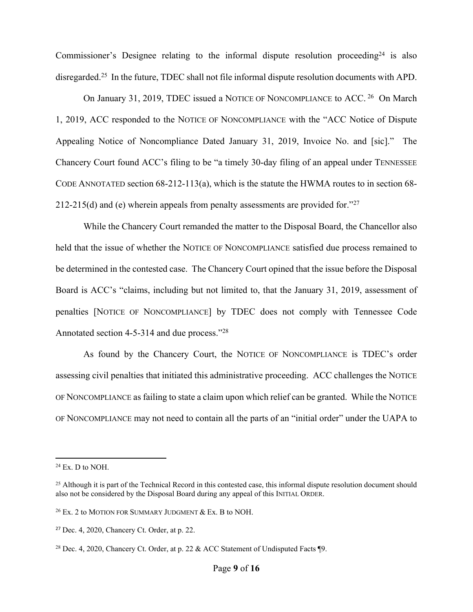Commissioner's Designee relating to the informal dispute resolution proceeding<sup>24</sup> is also disregarded.<sup>25</sup> In the future, TDEC shall not file informal dispute resolution documents with APD.

On January 31, 2019, TDEC issued a NOTICE OF NONCOMPLIANCE to ACC.<sup>26</sup> On March 1, 2019, ACC responded to the NOTICE OF NONCOMPLIANCE with the "ACC Notice of Dispute Appealing Notice of Noncompliance Dated January 31, 2019, Invoice No. and [sic]." The Chancery Court found ACC's filing to be "a timely 30-day filing of an appeal under TENNESSEE CODE ANNOTATED section 68-212-113(a), which is the statute the HWMA routes to in section 68- 212-215(d) and (e) wherein appeals from penalty assessments are provided for.<sup>"27</sup>

While the Chancery Court remanded the matter to the Disposal Board, the Chancellor also held that the issue of whether the NOTICE OF NONCOMPLIANCE satisfied due process remained to be determined in the contested case. The Chancery Court opined that the issue before the Disposal Board is ACC's "claims, including but not limited to, that the January 31, 2019, assessment of penalties [NOTICE OF NONCOMPLIANCE] by TDEC does not comply with Tennessee Code Annotated section 4-5-314 and due process."28

As found by the Chancery Court, the NOTICE OF NONCOMPLIANCE is TDEC's order assessing civil penalties that initiated this administrative proceeding. ACC challenges the NOTICE OF NONCOMPLIANCE as failing to state a claim upon which relief can be granted. While the NOTICE OF NONCOMPLIANCE may not need to contain all the parts of an "initial order" under the UAPA to

 $24$  Ex. D to NOH.

<sup>&</sup>lt;sup>25</sup> Although it is part of the Technical Record in this contested case, this informal dispute resolution document should also not be considered by the Disposal Board during any appeal of this INITIAL ORDER.

<sup>26</sup> Ex. 2 to MOTION FOR SUMMARY JUDGMENT & Ex. B to NOH.

<sup>27</sup> Dec. 4, 2020, Chancery Ct. Order, at p. 22.

<sup>&</sup>lt;sup>28</sup> Dec. 4, 2020, Chancery Ct. Order, at p. 22  $\&$  ACC Statement of Undisputed Facts ¶9.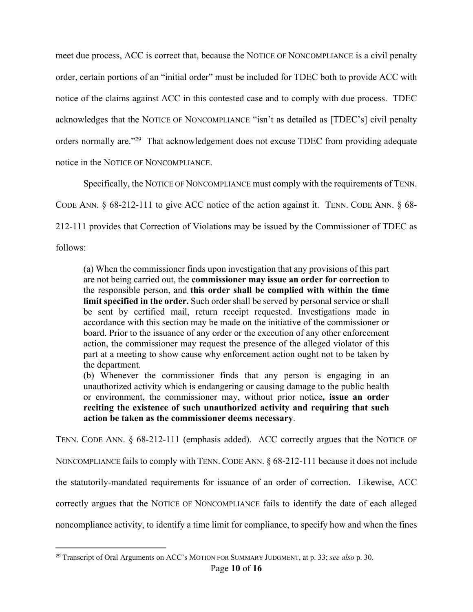meet due process, ACC is correct that, because the NOTICE OF NONCOMPLIANCE is a civil penalty order, certain portions of an "initial order" must be included for TDEC both to provide ACC with notice of the claims against ACC in this contested case and to comply with due process. TDEC acknowledges that the NOTICE OF NONCOMPLIANCE "isn't as detailed as [TDEC's] civil penalty orders normally are."<sup>29</sup> That acknowledgement does not excuse TDEC from providing adequate notice in the NOTICE OF NONCOMPLIANCE.

Specifically, the NOTICE OF NONCOMPLIANCE must comply with the requirements of TENN.

CODE ANN. § 68-212-111 to give ACC notice of the action against it. TENN. CODE ANN. § 68-

212-111 provides that Correction of Violations may be issued by the Commissioner of TDEC as

follows:

(a) When the commissioner finds upon investigation that any provisions of this part are not being carried out, the **commissioner may issue an order for correction** to the responsible person, and **this order shall be complied with within the time limit specified in the order.** Such order shall be served by personal service or shall be sent by certified mail, return receipt requested. Investigations made in accordance with this section may be made on the initiative of the commissioner or board. Prior to the issuance of any order or the execution of any other enforcement action, the commissioner may request the presence of the alleged violator of this part at a meeting to show cause why enforcement action ought not to be taken by the department.

(b) Whenever the commissioner finds that any person is engaging in an unauthorized activity which is endangering or causing damage to the public health or environment, the commissioner may, without prior notice**, issue an order reciting the existence of such unauthorized activity and requiring that such action be taken as the commissioner deems necessary**.

TENN. CODE ANN. § 68-212-111 (emphasis added). ACC correctly argues that the NOTICE OF

NONCOMPLIANCE fails to comply with TENN. CODE ANN. § 68-212-111 because it does not include

the statutorily-mandated requirements for issuance of an order of correction. Likewise, ACC

correctly argues that the NOTICE OF NONCOMPLIANCE fails to identify the date of each alleged

noncompliance activity, to identify a time limit for compliance, to specify how and when the fines

<sup>29</sup> Transcript of Oral Arguments on ACC's MOTION FOR SUMMARY JUDGMENT, at p. 33; *see also* p. 30.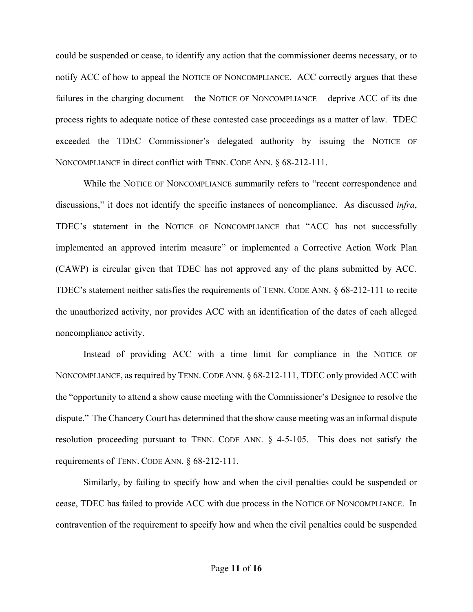could be suspended or cease, to identify any action that the commissioner deems necessary, or to notify ACC of how to appeal the NOTICE OF NONCOMPLIANCE.ACC correctly argues that these failures in the charging document – the NOTICE OF NONCOMPLIANCE – deprive ACC of its due process rights to adequate notice of these contested case proceedings as a matter of law. TDEC exceeded the TDEC Commissioner's delegated authority by issuing the NOTICE OF NONCOMPLIANCE in direct conflict with TENN. CODE ANN. § 68-212-111.

While the NOTICE OF NONCOMPLIANCE summarily refers to "recent correspondence and discussions," it does not identify the specific instances of noncompliance. As discussed *infra*, TDEC's statement in the NOTICE OF NONCOMPLIANCE that "ACC has not successfully implemented an approved interim measure" or implemented a Corrective Action Work Plan (CAWP) is circular given that TDEC has not approved any of the plans submitted by ACC. TDEC's statement neither satisfies the requirements of TENN. CODE ANN. § 68-212-111 to recite the unauthorized activity, nor provides ACC with an identification of the dates of each alleged noncompliance activity.

Instead of providing ACC with a time limit for compliance in the NOTICE OF NONCOMPLIANCE, as required by TENN. CODE ANN. § 68-212-111, TDEC only provided ACC with the "opportunity to attend a show cause meeting with the Commissioner's Designee to resolve the dispute." The Chancery Court has determined that the show cause meeting was an informal dispute resolution proceeding pursuant to TENN. CODE ANN. § 4-5-105. This does not satisfy the requirements of TENN. CODE ANN. § 68-212-111.

Similarly, by failing to specify how and when the civil penalties could be suspended or cease, TDEC has failed to provide ACC with due process in the NOTICE OF NONCOMPLIANCE. In contravention of the requirement to specify how and when the civil penalties could be suspended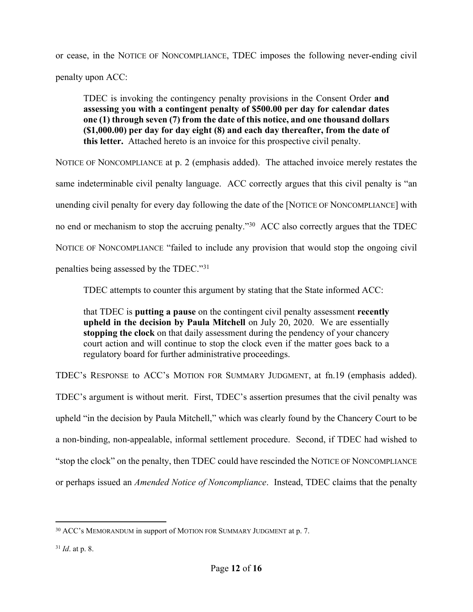or cease, in the NOTICE OF NONCOMPLIANCE, TDEC imposes the following never-ending civil penalty upon ACC:

TDEC is invoking the contingency penalty provisions in the Consent Order **and assessing you with a contingent penalty of \$500.00 per day for calendar dates one (1) through seven (7) from the date of this notice, and one thousand dollars (\$1,000.00) per day for day eight (8) and each day thereafter, from the date of this letter.** Attached hereto is an invoice for this prospective civil penalty.

NOTICE OF NONCOMPLIANCE at p. 2 (emphasis added). The attached invoice merely restates the same indeterminable civil penalty language. ACC correctly argues that this civil penalty is "an unending civil penalty for every day following the date of the [NOTICE OF NONCOMPLIANCE] with no end or mechanism to stop the accruing penalty."<sup>30</sup> ACC also correctly argues that the TDEC NOTICE OF NONCOMPLIANCE "failed to include any provision that would stop the ongoing civil penalties being assessed by the TDEC."<sup>31</sup>

TDEC attempts to counter this argument by stating that the State informed ACC:

that TDEC is **putting a pause** on the contingent civil penalty assessment **recently upheld in the decision by Paula Mitchell** on July 20, 2020. We are essentially **stopping the clock** on that daily assessment during the pendency of your chancery court action and will continue to stop the clock even if the matter goes back to a regulatory board for further administrative proceedings.

TDEC's RESPONSE to ACC's MOTION FOR SUMMARY JUDGMENT, at fn.19 (emphasis added).

TDEC's argument is without merit. First, TDEC's assertion presumes that the civil penalty was upheld "in the decision by Paula Mitchell," which was clearly found by the Chancery Court to be a non-binding, non-appealable, informal settlement procedure. Second, if TDEC had wished to "stop the clock" on the penalty, then TDEC could have rescinded the NOTICE OF NONCOMPLIANCE or perhaps issued an *Amended Notice of Noncompliance*. Instead, TDEC claims that the penalty

<sup>30</sup> ACC's MEMORANDUM in support of MOTION FOR SUMMARY JUDGMENT at p. 7.

<sup>31</sup> *Id*. at p. 8.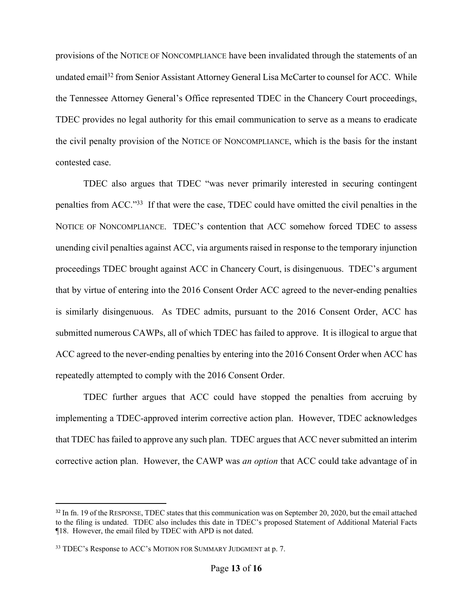provisions of the NOTICE OF NONCOMPLIANCE have been invalidated through the statements of an undated email<sup>32</sup> from Senior Assistant Attorney General Lisa McCarter to counsel for ACC. While the Tennessee Attorney General's Office represented TDEC in the Chancery Court proceedings, TDEC provides no legal authority for this email communication to serve as a means to eradicate the civil penalty provision of the NOTICE OF NONCOMPLIANCE, which is the basis for the instant contested case.

TDEC also argues that TDEC "was never primarily interested in securing contingent penalties from ACC."33 If that were the case, TDEC could have omitted the civil penalties in the NOTICE OF NONCOMPLIANCE. TDEC's contention that ACC somehow forced TDEC to assess unending civil penalties against ACC, via arguments raised in response to the temporary injunction proceedings TDEC brought against ACC in Chancery Court, is disingenuous. TDEC's argument that by virtue of entering into the 2016 Consent Order ACC agreed to the never-ending penalties is similarly disingenuous. As TDEC admits, pursuant to the 2016 Consent Order, ACC has submitted numerous CAWPs, all of which TDEC has failed to approve. It is illogical to argue that ACC agreed to the never-ending penalties by entering into the 2016 Consent Order when ACC has repeatedly attempted to comply with the 2016 Consent Order.

TDEC further argues that ACC could have stopped the penalties from accruing by implementing a TDEC-approved interim corrective action plan. However, TDEC acknowledges that TDEC has failed to approve any such plan. TDEC argues that ACC never submitted an interim corrective action plan. However, the CAWP was *an option* that ACC could take advantage of in

<sup>&</sup>lt;sup>32</sup> In fn. 19 of the RESPONSE, TDEC states that this communication was on September 20, 2020, but the email attached to the filing is undated. TDEC also includes this date in TDEC's proposed Statement of Additional Material Facts ¶18. However, the email filed by TDEC with APD is not dated.

<sup>33</sup> TDEC's Response to ACC's MOTION FOR SUMMARY JUDGMENT at p. 7.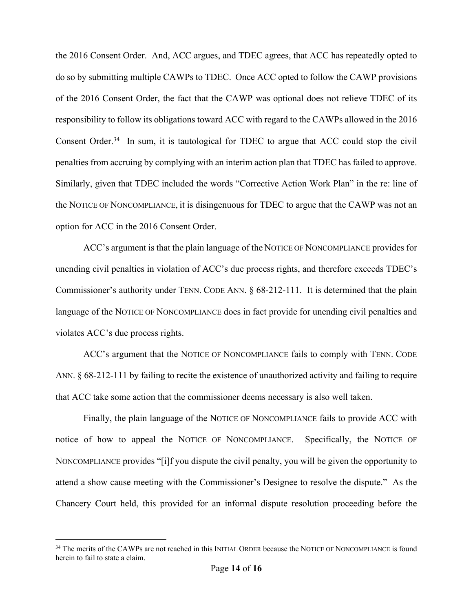the 2016 Consent Order. And, ACC argues, and TDEC agrees, that ACC has repeatedly opted to do so by submitting multiple CAWPs to TDEC. Once ACC opted to follow the CAWP provisions of the 2016 Consent Order, the fact that the CAWP was optional does not relieve TDEC of its responsibility to follow its obligations toward ACC with regard to the CAWPs allowed in the 2016 Consent Order.<sup>34</sup> In sum, it is tautological for TDEC to argue that ACC could stop the civil penalties from accruing by complying with an interim action plan that TDEC has failed to approve. Similarly, given that TDEC included the words "Corrective Action Work Plan" in the re: line of the NOTICE OF NONCOMPLIANCE, it is disingenuous for TDEC to argue that the CAWP was not an option for ACC in the 2016 Consent Order.

ACC's argument is that the plain language of the NOTICE OF NONCOMPLIANCE provides for unending civil penalties in violation of ACC's due process rights, and therefore exceeds TDEC's Commissioner's authority under TENN. CODE ANN. § 68-212-111. It is determined that the plain language of the NOTICE OF NONCOMPLIANCE does in fact provide for unending civil penalties and violates ACC's due process rights.

ACC's argument that the NOTICE OF NONCOMPLIANCE fails to comply with TENN. CODE ANN. § 68-212-111 by failing to recite the existence of unauthorized activity and failing to require that ACC take some action that the commissioner deems necessary is also well taken.

Finally, the plain language of the NOTICE OF NONCOMPLIANCE fails to provide ACC with notice of how to appeal the NOTICE OF NONCOMPLIANCE. Specifically, the NOTICE OF NONCOMPLIANCE provides "[i]f you dispute the civil penalty, you will be given the opportunity to attend a show cause meeting with the Commissioner's Designee to resolve the dispute." As the Chancery Court held, this provided for an informal dispute resolution proceeding before the

<sup>&</sup>lt;sup>34</sup> The merits of the CAWPs are not reached in this INITIAL ORDER because the NOTICE OF NONCOMPLIANCE is found herein to fail to state a claim.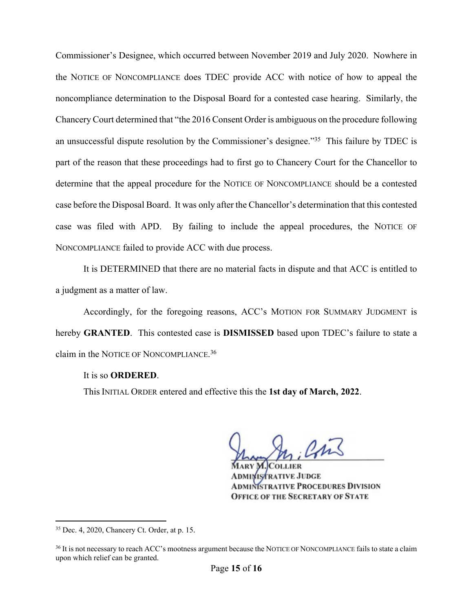Commissioner's Designee, which occurred between November 2019 and July 2020. Nowhere in the NOTICE OF NONCOMPLIANCE does TDEC provide ACC with notice of how to appeal the noncompliance determination to the Disposal Board for a contested case hearing. Similarly, the Chancery Court determined that "the 2016 Consent Order is ambiguous on the procedure following an unsuccessful dispute resolution by the Commissioner's designee."<sup>35</sup> This failure by TDEC is part of the reason that these proceedings had to first go to Chancery Court for the Chancellor to determine that the appeal procedure for the NOTICE OF NONCOMPLIANCE should be a contested case before the Disposal Board. It was only after the Chancellor's determination that this contested case was filed with APD. By failing to include the appeal procedures, the NOTICE OF NONCOMPLIANCE failed to provide ACC with due process.

It is DETERMINED that there are no material facts in dispute and that ACC is entitled to a judgment as a matter of law.

Accordingly, for the foregoing reasons, ACC's MOTION FOR SUMMARY JUDGMENT is hereby **GRANTED**. This contested case is **DISMISSED** based upon TDEC's failure to state a claim in the NOTICE OF NONCOMPLIANCE. 36

#### It is so **ORDERED**.

This INITIAL ORDER entered and effective this the **1st day of March, 2022**.

Con

**ISTRATIVE JUDGE NISTRATIVE PROCEDURES DIVISION OFFICE OF THE SECRETARY OF STATE** 

<sup>35</sup> Dec. 4, 2020, Chancery Ct. Order, at p. 15.

<sup>&</sup>lt;sup>36</sup> It is not necessary to reach ACC's mootness argument because the NOTICE OF NONCOMPLIANCE fails to state a claim upon which relief can be granted.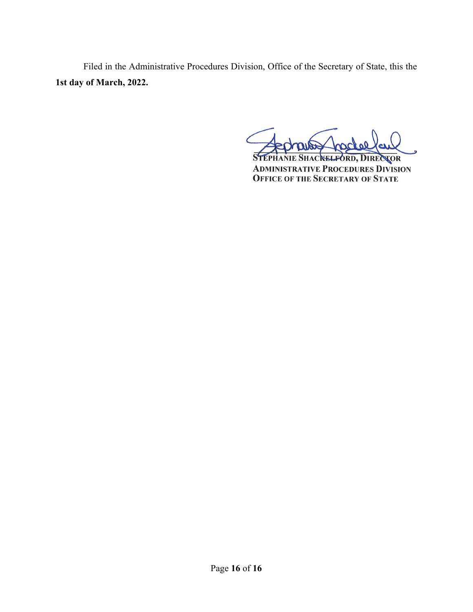Filed in the Administrative Procedures Division, Office of the Secretary of State, this the **1st day of March, 2022.**

**STEPHANIE SHACKELFORD, DIRECTOR ADMINISTRATIVE PROCEDURES DIVISION<br>OFFICE OF THE SECRETARY OF STATE**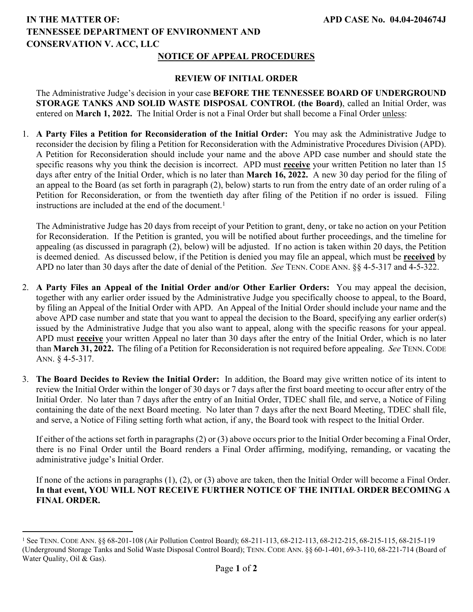# **IN THE MATTER OF: TENNESSEE DEPARTMENT OF ENVIRONMENT AND CONSERVATION V. ACC, LLC**

### **NOTICE OF APPEAL PROCEDURES**

#### **REVIEW OF INITIAL ORDER**

The Administrative Judge's decision in your case **BEFORE THE TENNESSEE BOARD OF UNDERGROUND STORAGE TANKS AND SOLID WASTE DISPOSAL CONTROL (the Board)**, called an Initial Order, was entered on **March 1, 2022.** The Initial Order is not a Final Order but shall become a Final Order unless:

1. **A Party Files a Petition for Reconsideration of the Initial Order:** You may ask the Administrative Judge to reconsider the decision by filing a Petition for Reconsideration with the Administrative Procedures Division (APD). A Petition for Reconsideration should include your name and the above APD case number and should state the specific reasons why you think the decision is incorrect. APD must **receive** your written Petition no later than 15 days after entry of the Initial Order, which is no later than **March 16, 2022.** A new 30 day period for the filing of an appeal to the Board (as set forth in paragraph (2), below) starts to run from the entry date of an order ruling of a Petition for Reconsideration, or from the twentieth day after filing of the Petition if no order is issued. Filing instructions are included at the end of the document.<sup>1</sup>

The Administrative Judge has 20 days from receipt of your Petition to grant, deny, or take no action on your Petition for Reconsideration. If the Petition is granted, you will be notified about further proceedings, and the timeline for appealing (as discussed in paragraph (2), below) will be adjusted. If no action is taken within 20 days, the Petition is deemed denied. As discussed below, if the Petition is denied you may file an appeal, which must be **received** by APD no later than 30 days after the date of denial of the Petition. *See* TENN. CODE ANN. §§ 4-5-317 and 4-5-322.

- 2. **A Party Files an Appeal of the Initial Order and/or Other Earlier Orders:** You may appeal the decision, together with any earlier order issued by the Administrative Judge you specifically choose to appeal, to the Board, by filing an Appeal of the Initial Order with APD. An Appeal of the Initial Order should include your name and the above APD case number and state that you want to appeal the decision to the Board, specifying any earlier order(s) issued by the Administrative Judge that you also want to appeal, along with the specific reasons for your appeal. APD must **receive** your written Appeal no later than 30 days after the entry of the Initial Order, which is no later than **March 31, 2022.** The filing of a Petition for Reconsideration is not required before appealing. *See* TENN.CODE ANN. § 4-5-317.
- 3. **The Board Decides to Review the Initial Order:** In addition, the Board may give written notice of its intent to review the Initial Order within the longer of 30 days or 7 days after the first board meeting to occur after entry of the Initial Order. No later than 7 days after the entry of an Initial Order, TDEC shall file, and serve, a Notice of Filing containing the date of the next Board meeting. No later than 7 days after the next Board Meeting, TDEC shall file, and serve, a Notice of Filing setting forth what action, if any, the Board took with respect to the Initial Order.

If either of the actions set forth in paragraphs (2) or (3) above occurs prior to the Initial Order becoming a Final Order, there is no Final Order until the Board renders a Final Order affirming, modifying, remanding, or vacating the administrative judge's Initial Order.

If none of the actions in paragraphs (1), (2), or (3) above are taken, then the Initial Order will become a Final Order. **In that event, YOU WILL NOT RECEIVE FURTHER NOTICE OF THE INITIAL ORDER BECOMING A FINAL ORDER.**

<sup>1</sup> See TENN. CODE ANN. §§ 68-201-108 (Air Pollution Control Board); 68-211-113, 68-212-113, 68-212-215, 68-215-115, 68-215-119 (Underground Storage Tanks and Solid Waste Disposal Control Board); TENN. CODE ANN. §§ 60-1-401, 69-3-110, 68-221-714 (Board of Water Quality, Oil & Gas).